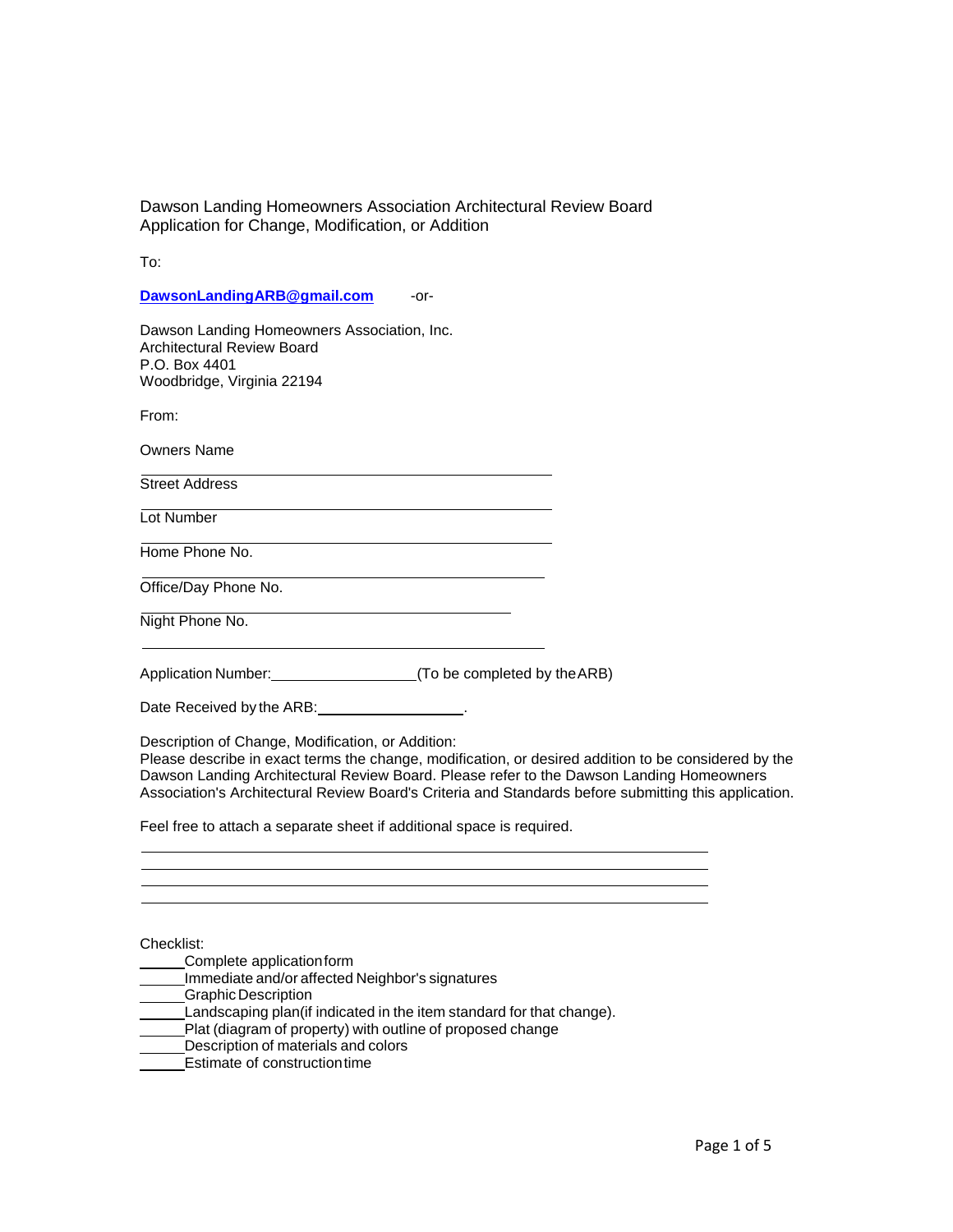To:

**DawsonLandingARB@gmail.com** or-

Dawson Landing Homeowners Association, Inc. Architectural Review Board P.O. Box 4401 Woodbridge, Virginia 22194

From:

Owners Name

Street Address

Lot Number

Home Phone No.

Office/Day Phone No.

Night Phone No.

Application Number: (To be completed by theARB)

Date Received by the ARB: .

Description of Change, Modification, or Addition:

Please describe in exact terms the change, modification, or desired addition to be considered by the Dawson Landing Architectural Review Board. Please refer to the Dawson Landing Homeowners Association's Architectural Review Board's Criteria and Standards before submitting this application.

Feel free to attach a separate sheet if additional space is required.

Checklist:

- Complete applicationform
- Immediate and/or affected Neighbor's signatures
- Graphic Description
- **Landscaping plan(if indicated in the item standard for that change).**
- **Plat (diagram of property) with outline of proposed change**
- Description of materials and colors
- Estimate of constructiontime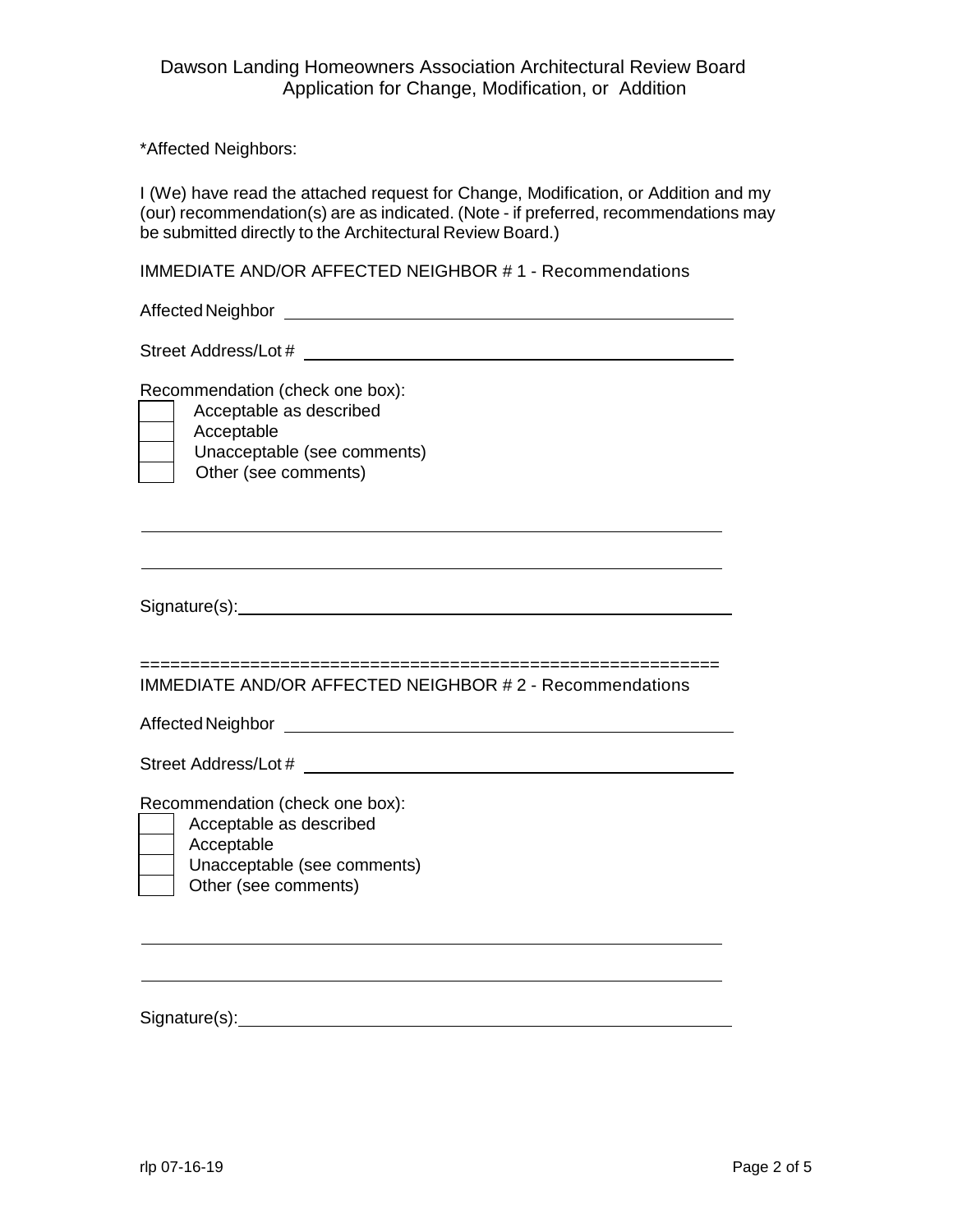\*Affected Neighbors:

I (We) have read the attached request for Change, Modification, or Addition and my (our) recommendation(s) are as indicated. (Note - if preferred, recommendations may be submitted directly to the Architectural Review Board.)

IMMEDIATE AND/OR AFFECTED NEIGHBOR # 1 - Recommendations

AffectedNeighbor

Street Address/Lot #  $\overline{a}$ 

Recommendation (check one box):

| Aco |
|-----|
| Aco |
| Uni |
| )łł |

ceptable as described ceptable acceptable (see comments) Other (see comments)

Signature(s): 2000 Contract Contract Contract Contract Contract Contract Contract Contract Contract Contract Contract Contract Contract Contract Contract Contract Contract Contract Contract Contract Contract Contract Contr

========================================================== IMMEDIATE AND/OR AFFECTED NEIGHBOR # 2 - Recommendations

AffectedNeighbor

Street Address/Lot #

Recommendation (check one box):

- Acceptable as described
- Acceptable
	- Unacceptable (see comments)
	- Other (see comments)

Signature(s):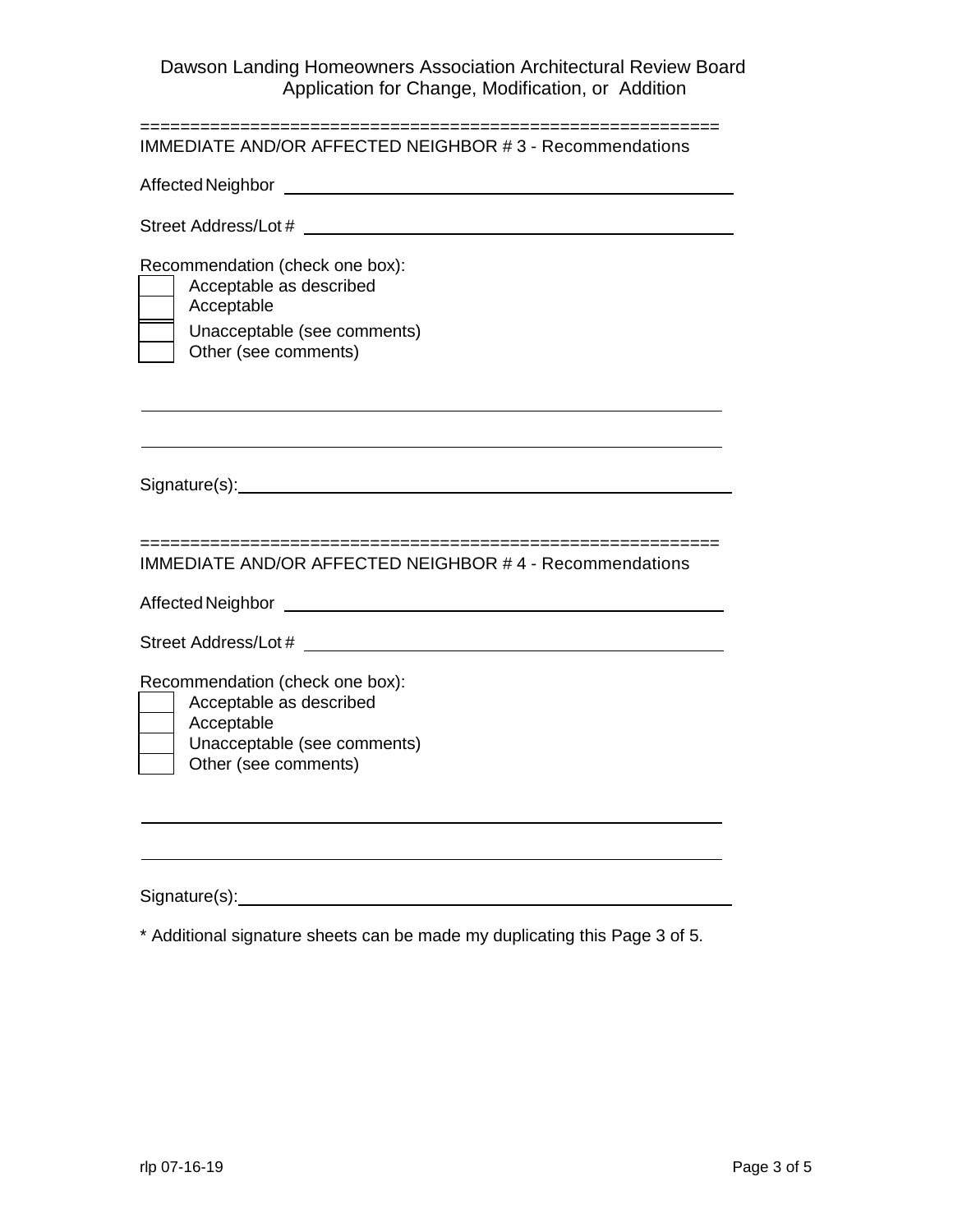| IMMEDIATE AND/OR AFFECTED NEIGHBOR #3 - Recommendations                                                                                                                                                                                            |
|----------------------------------------------------------------------------------------------------------------------------------------------------------------------------------------------------------------------------------------------------|
| Affected Neighbor<br><u> 1989 - Johann Stein, fransk politik (d. 1989)</u>                                                                                                                                                                         |
| Street Address/Lot # 2007 2008                                                                                                                                                                                                                     |
| Recommendation (check one box):<br>Acceptable as described<br>Acceptable<br>Unacceptable (see comments)<br>Other (see comments)                                                                                                                    |
|                                                                                                                                                                                                                                                    |
| ====================<br>===========================<br><b>IMMEDIATE AND/OR AFFECTED NEIGHBOR #4 - Recommendations</b>                                                                                                                              |
| Affected Neighbor<br>the control of the control of the control of the control of the control of the control of the control of the control of the control of the control of the control of the control of the control of the control of the control |
|                                                                                                                                                                                                                                                    |
| Recommendation (check one box):<br>Acceptable as described<br>Acceptable<br>Unacceptable (see comments)<br>Other (see comments)                                                                                                                    |
|                                                                                                                                                                                                                                                    |
|                                                                                                                                                                                                                                                    |
|                                                                                                                                                                                                                                                    |

Signature(s): example and the state of the state of the state of the state of the state of the state of the state of the state of the state of the state of the state of the state of the state of the state of the state of t

\* Additional signature sheets can be made my duplicating this Page 3 of 5.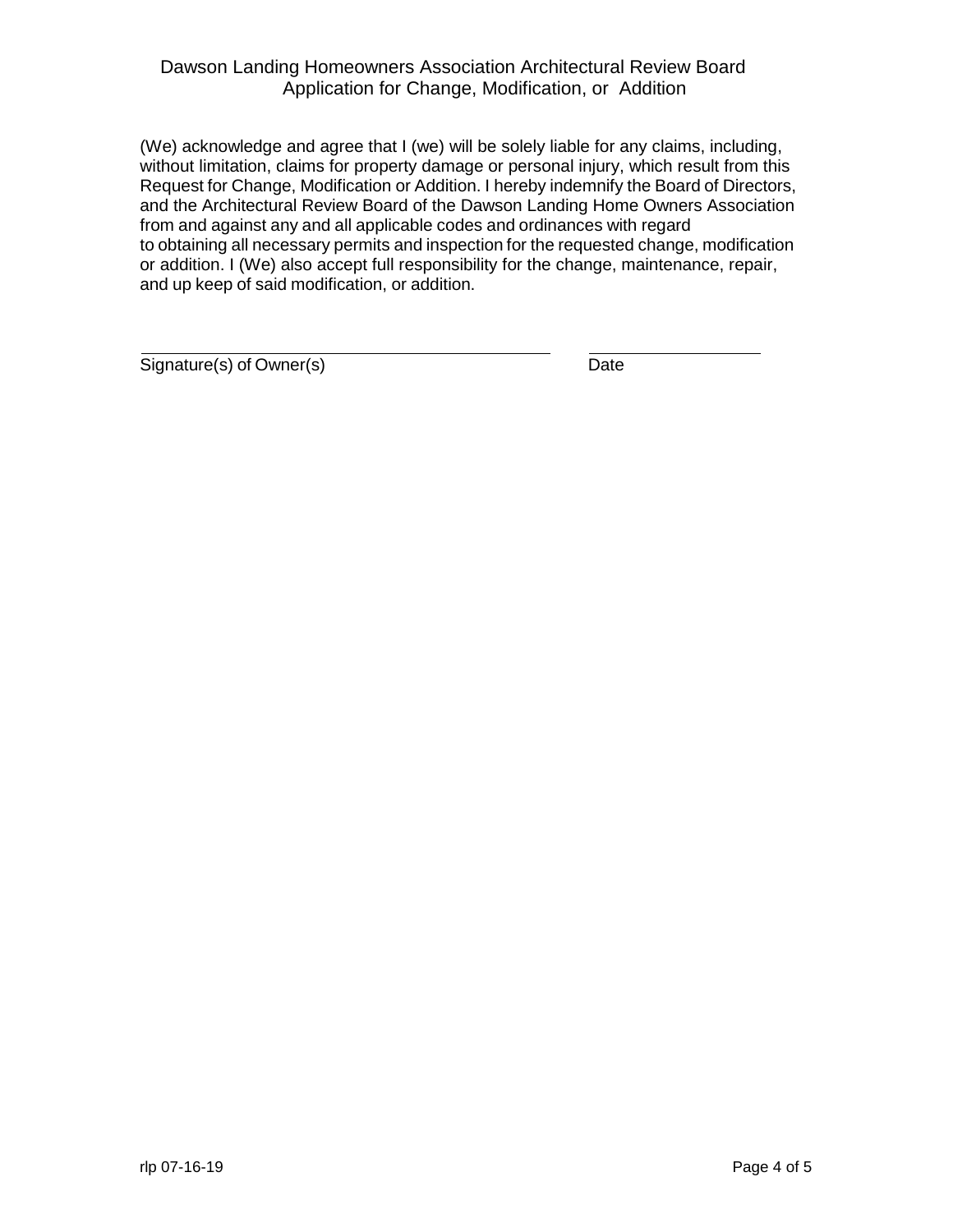(We) acknowledge and agree that I (we) will be solely liable for any claims, including, without limitation, claims for property damage or personal injury, which result from this Request for Change, Modification or Addition. I hereby indemnify the Board of Directors, and the Architectural Review Board of the Dawson Landing Home Owners Association from and against any and all applicable codes and ordinances with regard to obtaining all necessary permits and inspection for the requested change, modification or addition. I (We) also accept full responsibility for the change, maintenance, repair, and up keep of said modification, or addition.

Signature(s) of Owner(s) Date